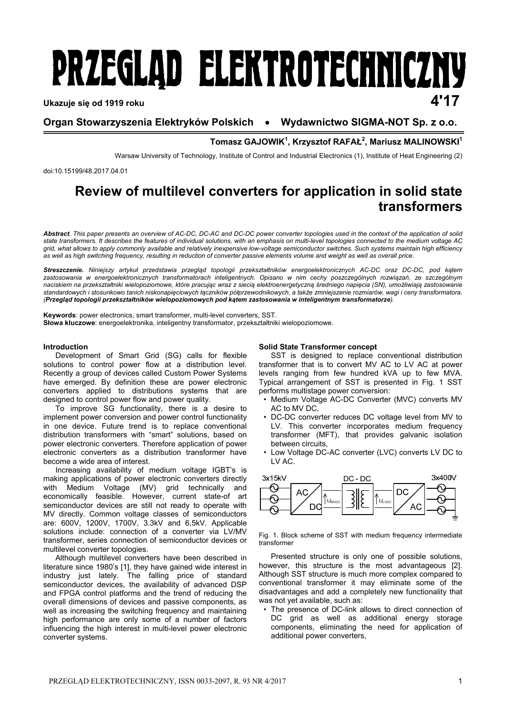# PRZEGLAD ELEKTROTECHNICZNY **Ukazuje się od 1919 roku 4'17**

## **Organ Stowarzyszenia Elektryków Polskich Wydawnictwo SIGMA-NOT Sp. z o.o.**

### $Tomasz GAJOWIK<sup>1</sup>, Krzysztof RAFAL<sup>2</sup>, Mariusz MALINOWSKI<sup>1</sup>$

Warsaw University of Technology, Institute of Control and Industrial Electronics (1), Institute of Heat Engineering (2)

doi:10.15199/48.2017.04.01

# **Review of multilevel converters for application in solid state transformers**

*Abstract. This paper presents an overview of AC-DC, DC-AC and DC-DC power converter topologies used in the context of the application of solid state transformers. It describes the features of individual solutions, with an emphasis on multi-level topologies connected to the medium voltage AC grid, what allows to apply commonly available and relatively inexpensive low-voltage semiconductor switches. Such systems maintain high efficiency as well as high switching frequency, resulting in reduction of converter passive elements volume and weight as well as overall price.* 

*Streszczenie. Niniejszy artykuł przedstawia przegląd topologii przekształtników energoelektronicznych AC-DC oraz DC-DC, pod kątem zastosowania w energoelektronicznych transformatorach inteligentnych. Opisano w nim cechy poszczególnych rozwiązań, ze szczególnym*  naciskiem na przekształtniki wielopoziomowe, które pracując wraz z siecią elektroenergetyczną średniego napięcia (SN), umożliwiają zastosowanie *standardowych i stosunkowo tanich niskonapięciowych łączników półprzewodnikowych, a także zmniejszenie rozmiarów, wagi i ceny transformatora. (Przegląd topologii przekształtników wielopoziomowych pod kątem zastosowania w inteligentnym transformatorze).* 

**Keywords**: power electronics, smart transformer, multi-level converters, SST. **Słowa kluczowe**: energoelektronika, inteligentny transformator, przekształtniki wielopoziomowe.

#### **Introduction**

 Development of Smart Grid (SG) calls for flexible solutions to control power flow at a distribution level. Recently a group of devices called Custom Power Systems have emerged. By definition these are power electronic converters applied to distributions systems that are designed to control power flow and power quality.

 To improve SG functionality, there is a desire to implement power conversion and power control functionality in one device. Future trend is to replace conventional distribution transformers with "smart" solutions, based on power electronic converters. Therefore application of power electronic converters as a distribution transformer have become a wide area of interest.

 Increasing availability of medium voltage IGBT's is making applications of power electronic converters directly with Medium Voltage (MV) grid technically and economically feasible. However, current state-of art semiconductor devices are still not ready to operate with MV directly. Common voltage classes of semiconductors are: 600V, 1200V, 1700V, 3.3kV and 6,5kV. Applicable solutions include: connection of a converter via LV/MV transformer, series connection of semiconductor devices or multilevel converter topologies.

 Although multilevel converters have been described in literature since 1980's [1], they have gained wide interest in industry just lately. The falling price of standard semiconductor devices, the availability of advanced DSP and FPGA control platforms and the trend of reducing the overall dimensions of devices and passive components, as well as increasing the switching frequency and maintaining high performance are only some of a number of factors influencing the high interest in multi-level power electronic converter systems.

#### **Solid State Transformer concept**

SST is designed to replace conventional distribution transformer that is to convert MV AC to LV AC at power levels ranging from few hundred kVA up to few MVA. Typical arrangement of SST is presented in Fig. 1 SST performs multistage power conversion:

- Medium Voltage AC-DC Converter (MVC) converts MV AC to MV DC,
- DC-DC converter reduces DC voltage level from MV to LV. This converter incorporates medium frequency transformer (MFT), that provides galvanic isolation between circuits,
- Low Voltage DC-AC converter (LVC) converts LV DC to LV AC.



Fig. 1. Block scheme of SST with medium frequency intermediate transformer

Presented structure is only one of possible solutions, however, this structure is the most advantageous [2]. Although SST structure is much more complex compared to conventional transformer it may eliminate some of the disadvantages and add a completely new functionality that was not yet available, such as:

• The presence of DC-link allows to direct connection of DC grid as well as additional energy storage components, eliminating the need for application of additional power converters,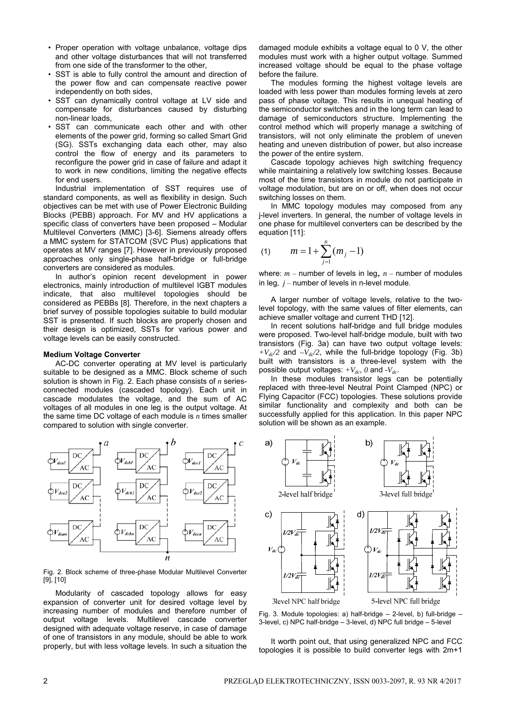- Proper operation with voltage unbalance, voltage dips and other voltage disturbances that will not transferred from one side of the transformer to the other,
- SST is able to fully control the amount and direction of the power flow and can compensate reactive power independently on both sides,
- SST can dynamically control voltage at LV side and compensate for disturbances caused by disturbing non-linear loads,
- SST can communicate each other and with other elements of the power grid, forming so called Smart Grid (SG). SSTs exchanging data each other, may also control the flow of energy and its parameters to reconfigure the power grid in case of failure and adapt it to work in new conditions, limiting the negative effects for end users.

Industrial implementation of SST requires use of standard components, as well as flexibility in design. Such objectives can be met with use of Power Electronic Building Blocks (PEBB) approach. For MV and HV applications a specific class of converters have been proposed – Modular Multilevel Converters (MMC) [3-6]. Siemens already offers a MMC system for STATCOM (SVC Plus) applications that operates at MV ranges [7]. However in previously proposed approaches only single-phase half-bridge or full-bridge converters are considered as modules.

In author's opinion recent development in power electronics, mainly introduction of multilevel IGBT modules indicate, that also multilevel topologies should be considered as PEBBs [8]. Therefore, in the next chapters a brief survey of possible topologies suitable to build modular SST is presented. If such blocks are properly chosen and their design is optimized, SSTs for various power and voltage levels can be easily constructed.

#### **Medium Voltage Converter**

AC-DC converter operating at MV level is particularly suitable to be designed as a MMC. Block scheme of such solution is shown in Fig. 2. Each phase consists of *n* seriesconnected modules (cascaded topology). Each unit in cascade modulates the voltage, and the sum of AC voltages of all modules in one leg is the output voltage. At the same time DC voltage of each module is *n* times smaller compared to solution with single converter.



Fig. 2. Block scheme of three-phase Modular Multilevel Converter [9], [10]

Modularity of cascaded topology allows for easy expansion of converter unit for desired voltage level by increasing number of modules and therefore number of output voltage levels. Multilevel cascade converter designed with adequate voltage reserve, in case of damage of one of transistors in any module, should be able to work properly, but with less voltage levels. In such a situation the

damaged module exhibits a voltage equal to 0 V, the other modules must work with a higher output voltage. Summed increased voltage should be equal to the phase voltage before the failure.

 The modules forming the highest voltage levels are loaded with less power than modules forming levels at zero pass of phase voltage. This results in unequal heating of the semiconductor switches and in the long term can lead to damage of semiconductors structure. Implementing the control method which will properly manage a switching of transistors, will not only eliminate the problem of uneven heating and uneven distribution of power, but also increase the power of the entire system.

 Cascade topology achieves high switching frequency while maintaining a relatively low switching losses. Because most of the time transistors in module do not participate in voltage modulation, but are on or off, when does not occur switching losses on them.

 In MMC topology modules may composed from any j-level inverters. In general, the number of voltage levels in one phase for multilevel converters can be described by the equation [11]:

(1) 
$$
m=1+\sum_{j=1}^n (m_j-1)
$$

where:  $m -$  number of levels in leg,  $n -$  number of modules in leg,  $j$  – number of levels in n-level module.

 A larger number of voltage levels, relative to the twolevel topology, with the same values of filter elements, can achieve smaller voltage and current THD [12].

In recent solutions half-bridge and full bridge modules were proposed. Two-level half-bridge module, built with two transistors (Fig. 3a) can have two output voltage levels:  $+V_{dc}/2$  and  $-V_{dc}/2$ , while the full-bridge topology (Fig. 3b) built with transistors is a three-level system with the possible output voltages:  $+V_{dc}$ , 0 and  $-V_{dc}$ .

In these modules transistor legs can be potentially replaced with three-level Neutral Point Clamped (NPC) or Flying Capacitor (FCC) topologies. These solutions provide similar functionality and complexity and both can be successfully applied for this application. In this paper NPC solution will be shown as an example.



Fig. 3. Module topologies: a) half-bridge – 2-level, b) full-bridge – 3-level, c) NPC half-bridge – 3-level, d) NPC full bridge – 5-level

It worth point out, that using generalized NPC and FCC topologies it is possible to build converter legs with 2m+1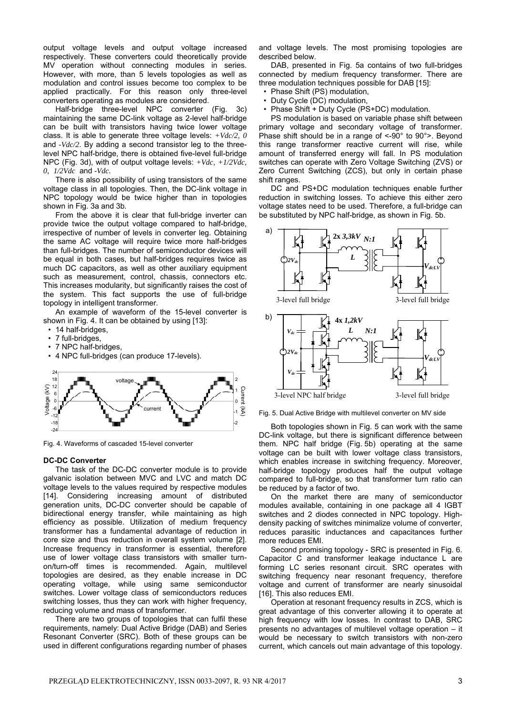output voltage levels and output voltage increased respectively. These converters could theoretically provide MV operation without connecting modules in series. However, with more, than 5 levels topologies as well as modulation and control issues become too complex to be applied practically. For this reason only three-level converters operating as modules are considered.

 Half-bridge three-level NPC converter (Fig. 3c) maintaining the same DC-link voltage as 2-level half-bridge can be built with transistors having twice lower voltage class. It is able to generate three voltage levels: *+Vdc/2*, *0*  and *-Vdc/2*. By adding a second transistor leg to the threelevel NPC half-bridge, there is obtained five-level full-bridge NPC (Fig. 3d), with of output voltage levels: *+Vdc*, *+1/2Vdc*, *0*, *1/2Vdc* and *-Vdc*.

 There is also possibility of using transistors of the same voltage class in all topologies. Then, the DC-link voltage in NPC topology would be twice higher than in topologies shown in Fig. 3a and 3b.

 From the above it is clear that full-bridge inverter can provide twice the output voltage compared to half-bridge, irrespective of number of levels in converter leg. Obtaining the same AC voltage will require twice more half-bridges than full-bridges. The number of semiconductor devices will be equal in both cases, but half-bridges requires twice as much DC capacitors, as well as other auxiliary equipment such as measurement, control, chassis, connectors etc. This increases modularity, but significantly raises the cost of the system. This fact supports the use of full-bridge topology in intelligent transformer.

 An example of waveform of the 15-level converter is shown in Fig. 4. It can be obtained by using [13]:

- 14 half-bridges,
- 7 full-bridges,
- 7 NPC half-bridges,
- 4 NPC full-bridges (can produce 17-levels).



Fig. 4. Waveforms of cascaded 15-level converter

#### **DC-DC Converter**

 The task of the DC-DC converter module is to provide galvanic isolation between MVC and LVC and match DC voltage levels to the values required by respective modules [14]. Considering increasing amount of distributed generation units, DC-DC converter should be capable of bidirectional energy transfer, while maintaining as high efficiency as possible. Utilization of medium frequency transformer has a fundamental advantage of reduction in core size and thus reduction in overall system volume [2]. Increase frequency in transformer is essential, therefore use of lower voltage class transistors with smaller turnon/turn-off times is recommended. Again, multilevel topologies are desired, as they enable increase in DC operating voltage, while using same semiconductor switches. Lower voltage class of semiconductors reduces switching losses, thus they can work with higher frequency, reducing volume and mass of transformer.

 There are two groups of topologies that can fulfil these requirements, namely: Dual Active Bridge (DAB) and Series Resonant Converter (SRC). Both of these groups can be used in different configurations regarding number of phases

and voltage levels. The most promising topologies are described below.

 DAB, presented in Fig. 5a contains of two full-bridges connected by medium frequency transformer. There are three modulation techniques possible for DAB [15]:

- Phase Shift (PS) modulation,
- Duty Cycle (DC) modulation,
- Phase Shift + Duty Cycle (PS+DC) modulation.

 PS modulation is based on variable phase shift between primary voltage and secondary voltage of transformer. Phase shift should be in a range of <-90° to 90°>. Beyond this range transformer reactive current will rise, while amount of transferred energy will fall. In PS modulation switches can operate with Zero Voltage Switching (ZVS) or Zero Current Switching (ZCS), but only in certain phase shift ranges.

 DC and PS+DC modulation techniques enable further reduction in switching losses. To achieve this either zero voltage states need to be used. Therefore, a full-bridge can be substituted by NPC half-bridge, as shown in Fig. 5b.



Fig. 5. Dual Active Bridge with multilevel converter on MV side

 Both topologies shown in Fig. 5 can work with the same DC-link voltage, but there is significant difference between them. NPC half bridge (Fig. 5b) operating at the same voltage can be built with lower voltage class transistors, which enables increase in switching frequency. Moreover, half-bridge topology produces half the output voltage compared to full-bridge, so that transformer turn ratio can be reduced by a factor of two.

 On the market there are many of semiconductor modules available, containing in one package all 4 IGBT switches and 2 diodes connected in NPC topology. Highdensity packing of switches minimalize volume of converter, reduces parasitic inductances and capacitances further more reduces EMI.

 Second promising topology - SRC is presented in Fig. 6. Capacitor C and transformer leakage inductance L are forming LC series resonant circuit. SRC operates with switching frequency near resonant frequency, therefore voltage and current of transformer are nearly sinusoidal [16]. This also reduces EMI.

 Operation at resonant frequency results in ZCS, which is great advantage of this converter allowing it to operate at high frequency with low losses. In contrast to DAB, SRC presents no advantages of multilevel voltage operation – it would be necessary to switch transistors with non-zero current, which cancels out main advantage of this topology.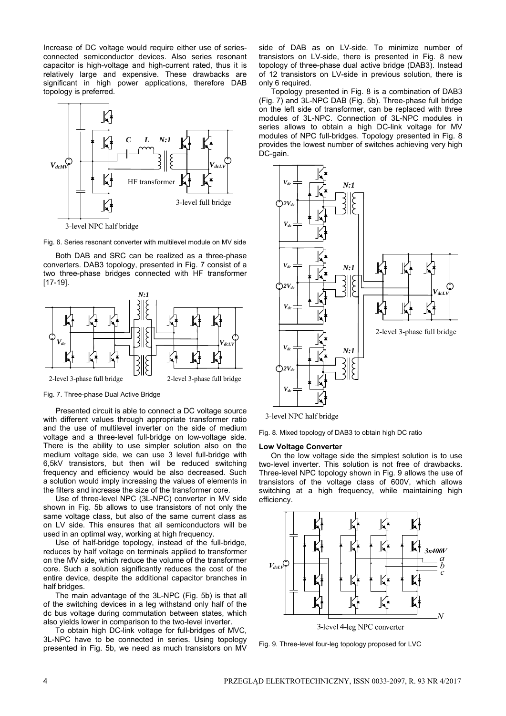Increase of DC voltage would require either use of seriesconnected semiconductor devices. Also series resonant capacitor is high-voltage and high-current rated, thus it is relatively large and expensive. These drawbacks are significant in high power applications, therefore DAB topology is preferred.



Fig. 6. Series resonant converter with multilevel module on MV side

 Both DAB and SRC can be realized as a three-phase converters. DAB3 topology, presented in Fig. 7 consist of a two three-phase bridges connected with HF transformer [17-19].



Fig. 7. Three-phase Dual Active Bridge

 Presented circuit is able to connect a DC voltage source with different values through appropriate transformer ratio and the use of multilevel inverter on the side of medium voltage and a three-level full-bridge on low-voltage side. There is the ability to use simpler solution also on the medium voltage side, we can use 3 level full-bridge with 6,5kV transistors, but then will be reduced switching frequency and efficiency would be also decreased. Such a solution would imply increasing the values of elements in the filters and increase the size of the transformer core.

 Use of three-level NPC (3L-NPC) converter in MV side shown in Fig. 5b allows to use transistors of not only the same voltage class, but also of the same current class as on LV side. This ensures that all semiconductors will be used in an optimal way, working at high frequency.

 Use of half-bridge topology, instead of the full-bridge, reduces by half voltage on terminals applied to transformer on the MV side, which reduce the volume of the transformer core. Such a solution significantly reduces the cost of the entire device, despite the additional capacitor branches in half bridges.

 The main advantage of the 3L-NPC (Fig. 5b) is that all of the switching devices in a leg withstand only half of the dc bus voltage during commutation between states, which also yields lower in comparison to the two-level inverter.

 To obtain high DC-link voltage for full-bridges of MVC, 3L-NPC have to be connected in series. Using topology presented in Fig. 5b, we need as much transistors on MV side of DAB as on LV-side. To minimize number of transistors on LV-side, there is presented in Fig. 8 new topology of three-phase dual active bridge (DAB3). Instead of 12 transistors on LV-side in previous solution, there is only 6 required.

 Topology presented in Fig. 8 is a combination of DAB3 (Fig. 7) and 3L-NPC DAB (Fig. 5b). Three-phase full bridge on the left side of transformer, can be replaced with three modules of 3L-NPC. Connection of 3L-NPC modules in series allows to obtain a high DC-link voltage for MV modules of NPC full-bridges. Topology presented in Fig. 8 provides the lowest number of switches achieving very high DC-gain.



3-level NPC half bridge



#### **Low Voltage Converter**

 On the low voltage side the simplest solution is to use two-level inverter. This solution is not free of drawbacks. Three-level NPC topology shown in Fig. 9 allows the use of transistors of the voltage class of 600V, which allows switching at a high frequency, while maintaining high efficiency.



Fig. 9. Three-level four-leg topology proposed for LVC